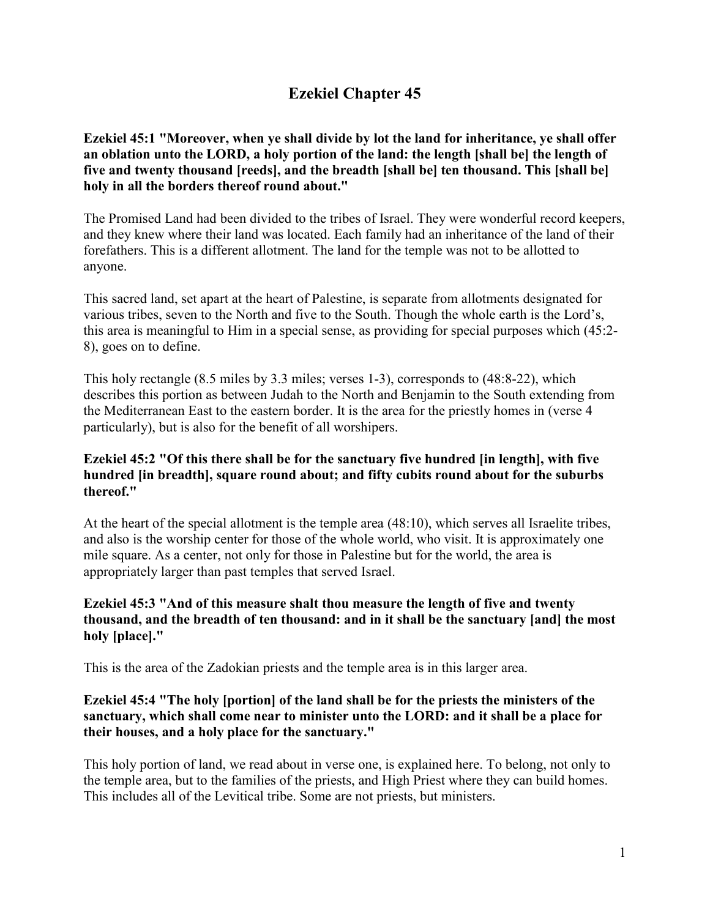# **Ezekiel Chapter 45**

**Ezekiel 45:1 "Moreover, when ye shall divide by lot the land for inheritance, ye shall offer an oblation unto the LORD, a holy portion of the land: the length [shall be] the length of five and twenty thousand [reeds], and the breadth [shall be] ten thousand. This [shall be] holy in all the borders thereof round about."**

The Promised Land had been divided to the tribes of Israel. They were wonderful record keepers, and they knew where their land was located. Each family had an inheritance of the land of their forefathers. This is a different allotment. The land for the temple was not to be allotted to anyone.

This sacred land, set apart at the heart of Palestine, is separate from allotments designated for various tribes, seven to the North and five to the South. Though the whole earth is the Lord's, this area is meaningful to Him in a special sense, as providing for special purposes which (45:2- 8), goes on to define.

This holy rectangle (8.5 miles by 3.3 miles; verses 1-3), corresponds to (48:8-22), which describes this portion as between Judah to the North and Benjamin to the South extending from the Mediterranean East to the eastern border. It is the area for the priestly homes in (verse 4 particularly), but is also for the benefit of all worshipers.

#### **Ezekiel 45:2 "Of this there shall be for the sanctuary five hundred [in length], with five hundred [in breadth], square round about; and fifty cubits round about for the suburbs thereof."**

At the heart of the special allotment is the temple area (48:10), which serves all Israelite tribes, and also is the worship center for those of the whole world, who visit. It is approximately one mile square. As a center, not only for those in Palestine but for the world, the area is appropriately larger than past temples that served Israel.

#### **Ezekiel 45:3 "And of this measure shalt thou measure the length of five and twenty thousand, and the breadth of ten thousand: and in it shall be the sanctuary [and] the most holy [place]."**

This is the area of the Zadokian priests and the temple area is in this larger area.

#### **Ezekiel 45:4 "The holy [portion] of the land shall be for the priests the ministers of the sanctuary, which shall come near to minister unto the LORD: and it shall be a place for their houses, and a holy place for the sanctuary."**

This holy portion of land, we read about in verse one, is explained here. To belong, not only to the temple area, but to the families of the priests, and High Priest where they can build homes. This includes all of the Levitical tribe. Some are not priests, but ministers.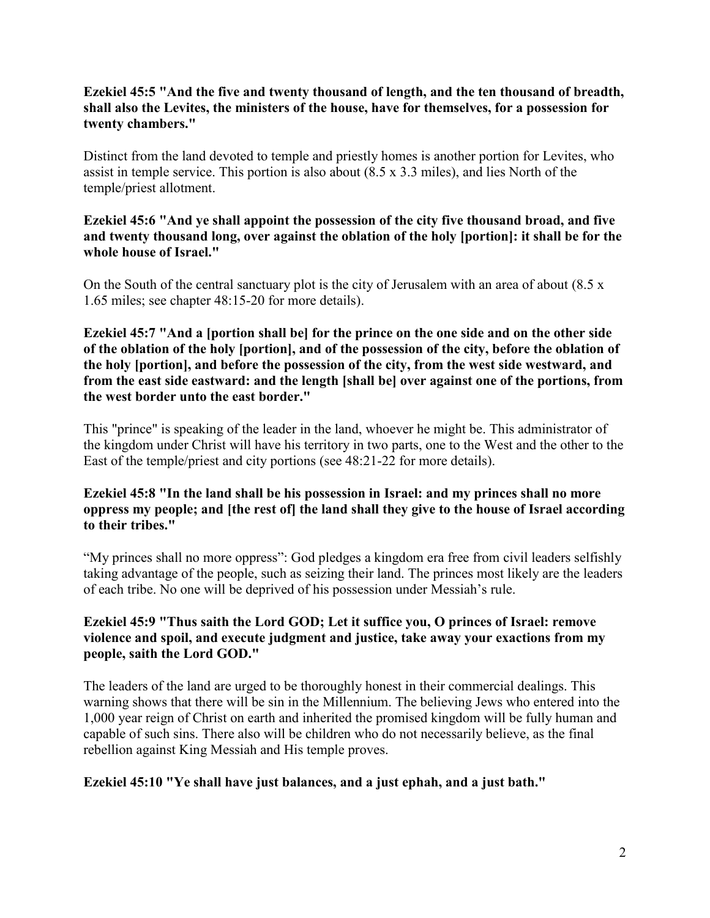## **Ezekiel 45:5 "And the five and twenty thousand of length, and the ten thousand of breadth, shall also the Levites, the ministers of the house, have for themselves, for a possession for twenty chambers."**

Distinct from the land devoted to temple and priestly homes is another portion for Levites, who assist in temple service. This portion is also about (8.5 x 3.3 miles), and lies North of the temple/priest allotment.

#### **Ezekiel 45:6 "And ye shall appoint the possession of the city five thousand broad, and five and twenty thousand long, over against the oblation of the holy [portion]: it shall be for the whole house of Israel."**

On the South of the central sanctuary plot is the city of Jerusalem with an area of about (8.5 x 1.65 miles; see chapter 48:15-20 for more details).

**Ezekiel 45:7 "And a [portion shall be] for the prince on the one side and on the other side of the oblation of the holy [portion], and of the possession of the city, before the oblation of the holy [portion], and before the possession of the city, from the west side westward, and from the east side eastward: and the length [shall be] over against one of the portions, from the west border unto the east border."**

This "prince" is speaking of the leader in the land, whoever he might be. This administrator of the kingdom under Christ will have his territory in two parts, one to the West and the other to the East of the temple/priest and city portions (see 48:21-22 for more details).

## **Ezekiel 45:8 "In the land shall be his possession in Israel: and my princes shall no more oppress my people; and [the rest of] the land shall they give to the house of Israel according to their tribes."**

"My princes shall no more oppress": God pledges a kingdom era free from civil leaders selfishly taking advantage of the people, such as seizing their land. The princes most likely are the leaders of each tribe. No one will be deprived of his possession under Messiah's rule.

## **Ezekiel 45:9 "Thus saith the Lord GOD; Let it suffice you, O princes of Israel: remove violence and spoil, and execute judgment and justice, take away your exactions from my people, saith the Lord GOD."**

The leaders of the land are urged to be thoroughly honest in their commercial dealings. This warning shows that there will be sin in the Millennium. The believing Jews who entered into the 1,000 year reign of Christ on earth and inherited the promised kingdom will be fully human and capable of such sins. There also will be children who do not necessarily believe, as the final rebellion against King Messiah and His temple proves.

## **Ezekiel 45:10 "Ye shall have just balances, and a just ephah, and a just bath."**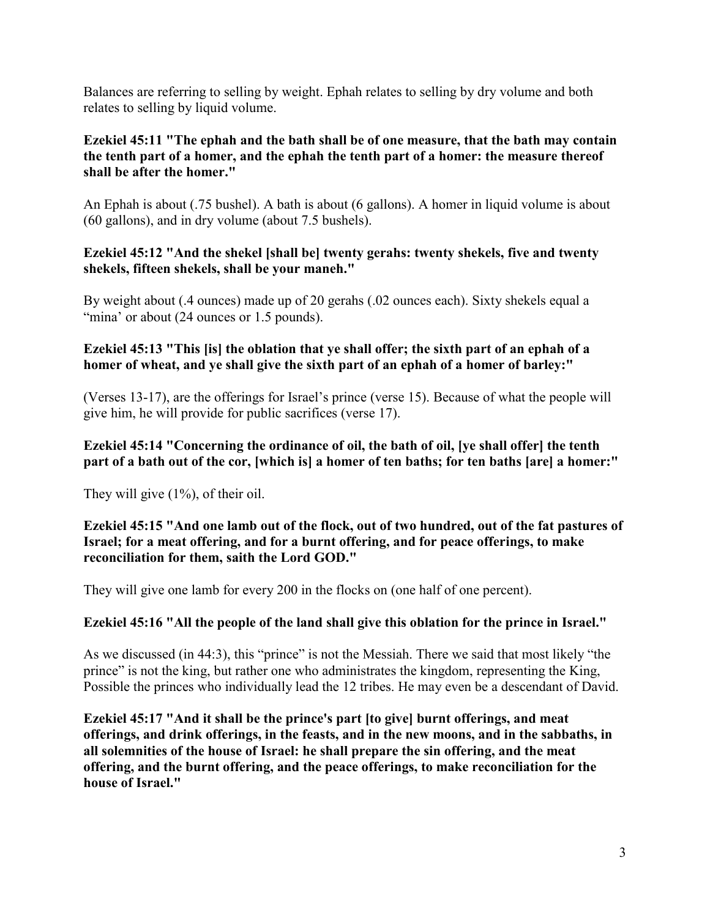Balances are referring to selling by weight. Ephah relates to selling by dry volume and both relates to selling by liquid volume.

## **Ezekiel 45:11 "The ephah and the bath shall be of one measure, that the bath may contain the tenth part of a homer, and the ephah the tenth part of a homer: the measure thereof shall be after the homer."**

An Ephah is about (.75 bushel). A bath is about (6 gallons). A homer in liquid volume is about (60 gallons), and in dry volume (about 7.5 bushels).

## **Ezekiel 45:12 "And the shekel [shall be] twenty gerahs: twenty shekels, five and twenty shekels, fifteen shekels, shall be your maneh."**

By weight about (.4 ounces) made up of 20 gerahs (.02 ounces each). Sixty shekels equal a "mina" or about (24 ounces or 1.5 pounds).

## **Ezekiel 45:13 "This [is] the oblation that ye shall offer; the sixth part of an ephah of a homer of wheat, and ye shall give the sixth part of an ephah of a homer of barley:"**

(Verses 13-17), are the offerings for Israel's prince (verse 15). Because of what the people will give him, he will provide for public sacrifices (verse 17).

## **Ezekiel 45:14 "Concerning the ordinance of oil, the bath of oil, [ye shall offer] the tenth part of a bath out of the cor, [which is] a homer of ten baths; for ten baths [are] a homer:"**

They will give (1%), of their oil.

## **Ezekiel 45:15 "And one lamb out of the flock, out of two hundred, out of the fat pastures of Israel; for a meat offering, and for a burnt offering, and for peace offerings, to make reconciliation for them, saith the Lord GOD."**

They will give one lamb for every 200 in the flocks on (one half of one percent).

## **Ezekiel 45:16 "All the people of the land shall give this oblation for the prince in Israel."**

As we discussed (in 44:3), this "prince" is not the Messiah. There we said that most likely "the prince" is not the king, but rather one who administrates the kingdom, representing the King, Possible the princes who individually lead the 12 tribes. He may even be a descendant of David.

**Ezekiel 45:17 "And it shall be the prince's part [to give] burnt offerings, and meat offerings, and drink offerings, in the feasts, and in the new moons, and in the sabbaths, in all solemnities of the house of Israel: he shall prepare the sin offering, and the meat offering, and the burnt offering, and the peace offerings, to make reconciliation for the house of Israel."**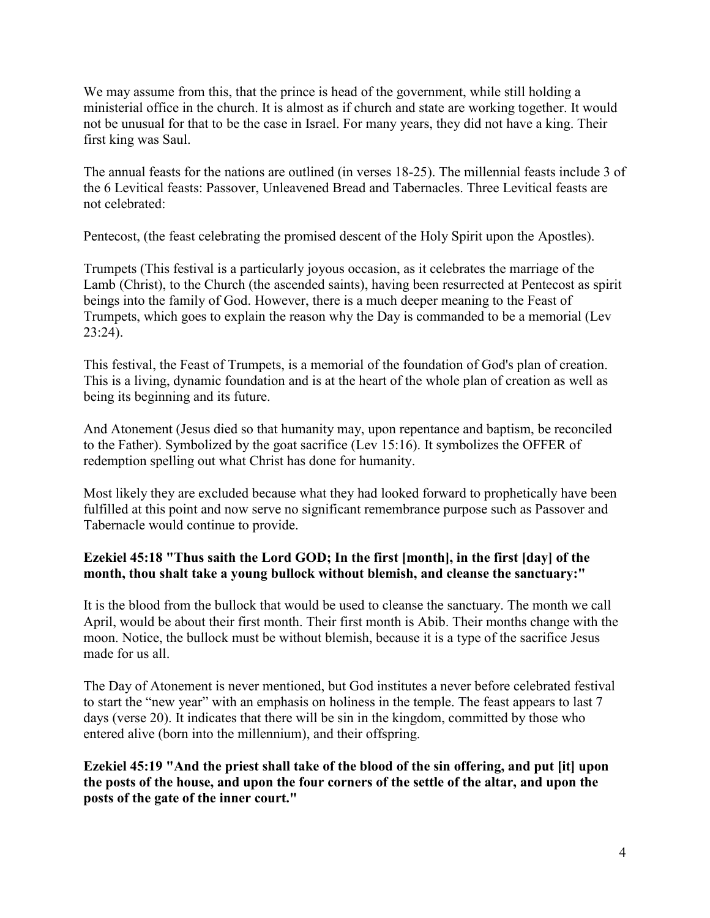We may assume from this, that the prince is head of the government, while still holding a ministerial office in the church. It is almost as if church and state are working together. It would not be unusual for that to be the case in Israel. For many years, they did not have a king. Their first king was Saul.

The annual feasts for the nations are outlined (in verses 18-25). The millennial feasts include 3 of the 6 Levitical feasts: Passover, Unleavened Bread and Tabernacles. Three Levitical feasts are not celebrated:

Pentecost, (the feast celebrating the promised descent of the Holy Spirit upon the Apostles).

Trumpets (This festival is a particularly joyous occasion, as it celebrates the marriage of the Lamb (Christ), to the Church (the ascended saints), having been resurrected at Pentecost as spirit beings into the family of God. However, there is a much deeper meaning to the Feast of Trumpets, which goes to explain the reason why the Day is commanded to be a memorial (Lev 23:24).

This festival, the Feast of Trumpets, is a memorial of the foundation of God's plan of creation. This is a living, dynamic foundation and is at the heart of the whole plan of creation as well as being its beginning and its future.

And Atonement (Jesus died so that humanity may, upon repentance and baptism, be reconciled to the Father). Symbolized by the goat sacrifice (Lev 15:16). It symbolizes the OFFER of redemption spelling out what Christ has done for humanity.

Most likely they are excluded because what they had looked forward to prophetically have been fulfilled at this point and now serve no significant remembrance purpose such as Passover and Tabernacle would continue to provide.

# **Ezekiel 45:18 "Thus saith the Lord GOD; In the first [month], in the first [day] of the month, thou shalt take a young bullock without blemish, and cleanse the sanctuary:"**

It is the blood from the bullock that would be used to cleanse the sanctuary. The month we call April, would be about their first month. Their first month is Abib. Their months change with the moon. Notice, the bullock must be without blemish, because it is a type of the sacrifice Jesus made for us all

The Day of Atonement is never mentioned, but God institutes a never before celebrated festival to start the "new year" with an emphasis on holiness in the temple. The feast appears to last 7 days (verse 20). It indicates that there will be sin in the kingdom, committed by those who entered alive (born into the millennium), and their offspring.

**Ezekiel 45:19 "And the priest shall take of the blood of the sin offering, and put [it] upon the posts of the house, and upon the four corners of the settle of the altar, and upon the posts of the gate of the inner court."**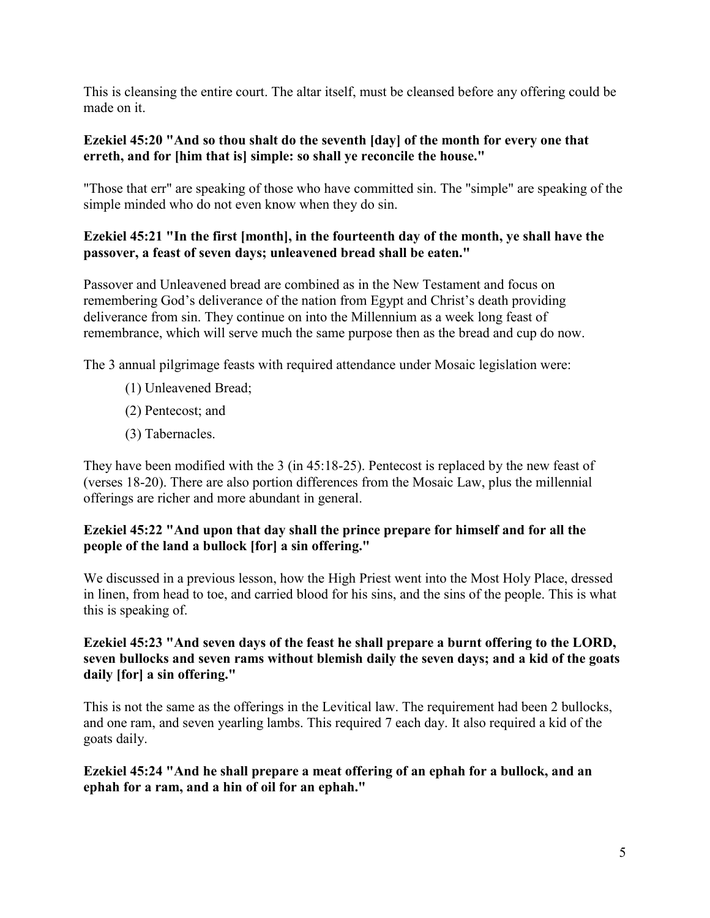This is cleansing the entire court. The altar itself, must be cleansed before any offering could be made on it.

## **Ezekiel 45:20 "And so thou shalt do the seventh [day] of the month for every one that erreth, and for [him that is] simple: so shall ye reconcile the house."**

"Those that err" are speaking of those who have committed sin. The "simple" are speaking of the simple minded who do not even know when they do sin.

# **Ezekiel 45:21 "In the first [month], in the fourteenth day of the month, ye shall have the passover, a feast of seven days; unleavened bread shall be eaten."**

Passover and Unleavened bread are combined as in the New Testament and focus on remembering God's deliverance of the nation from Egypt and Christ's death providing deliverance from sin. They continue on into the Millennium as a week long feast of remembrance, which will serve much the same purpose then as the bread and cup do now.

The 3 annual pilgrimage feasts with required attendance under Mosaic legislation were:

- (1) Unleavened Bread;
- (2) Pentecost; and
- (3) Tabernacles.

They have been modified with the 3 (in 45:18-25). Pentecost is replaced by the new feast of (verses 18-20). There are also portion differences from the Mosaic Law, plus the millennial offerings are richer and more abundant in general.

# **Ezekiel 45:22 "And upon that day shall the prince prepare for himself and for all the people of the land a bullock [for] a sin offering."**

We discussed in a previous lesson, how the High Priest went into the Most Holy Place, dressed in linen, from head to toe, and carried blood for his sins, and the sins of the people. This is what this is speaking of.

#### **Ezekiel 45:23 "And seven days of the feast he shall prepare a burnt offering to the LORD, seven bullocks and seven rams without blemish daily the seven days; and a kid of the goats daily [for] a sin offering."**

This is not the same as the offerings in the Levitical law. The requirement had been 2 bullocks, and one ram, and seven yearling lambs. This required 7 each day. It also required a kid of the goats daily.

## **Ezekiel 45:24 "And he shall prepare a meat offering of an ephah for a bullock, and an ephah for a ram, and a hin of oil for an ephah."**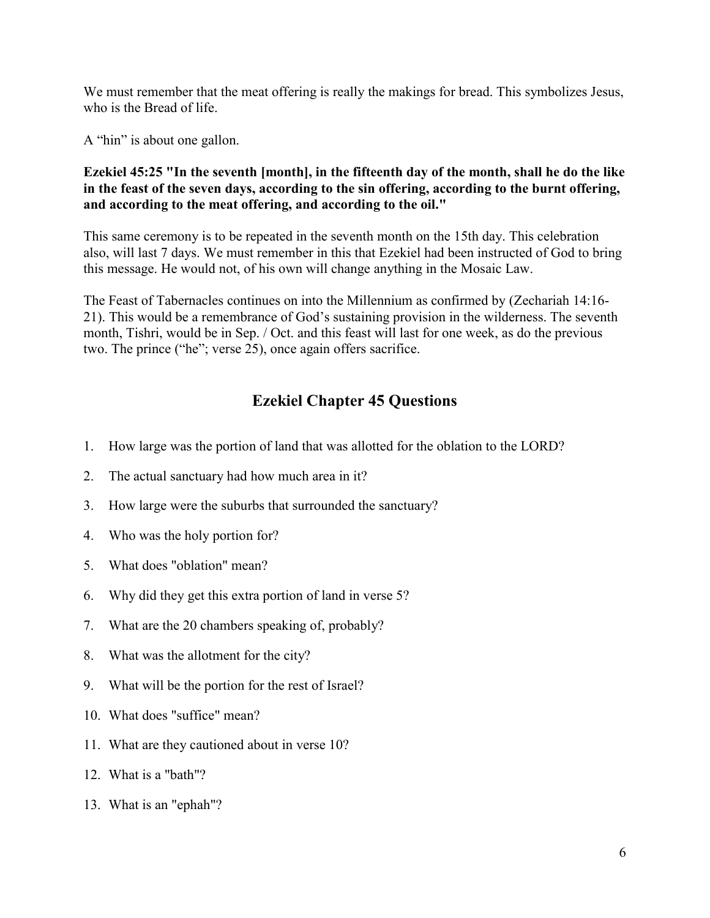We must remember that the meat offering is really the makings for bread. This symbolizes Jesus, who is the Bread of life.

A "hin" is about one gallon.

## **Ezekiel 45:25 "In the seventh [month], in the fifteenth day of the month, shall he do the like in the feast of the seven days, according to the sin offering, according to the burnt offering, and according to the meat offering, and according to the oil."**

This same ceremony is to be repeated in the seventh month on the 15th day. This celebration also, will last 7 days. We must remember in this that Ezekiel had been instructed of God to bring this message. He would not, of his own will change anything in the Mosaic Law.

The Feast of Tabernacles continues on into the Millennium as confirmed by (Zechariah 14:16- 21). This would be a remembrance of God's sustaining provision in the wilderness. The seventh month, Tishri, would be in Sep. / Oct. and this feast will last for one week, as do the previous two. The prince ("he"; verse 25), once again offers sacrifice.

# **Ezekiel Chapter 45 Questions**

- 1. How large was the portion of land that was allotted for the oblation to the LORD?
- 2. The actual sanctuary had how much area in it?
- 3. How large were the suburbs that surrounded the sanctuary?
- 4. Who was the holy portion for?
- 5. What does "oblation" mean?
- 6. Why did they get this extra portion of land in verse 5?
- 7. What are the 20 chambers speaking of, probably?
- 8. What was the allotment for the city?
- 9. What will be the portion for the rest of Israel?
- 10. What does "suffice" mean?
- 11. What are they cautioned about in verse 10?
- 12. What is a "bath"?
- 13. What is an "ephah"?